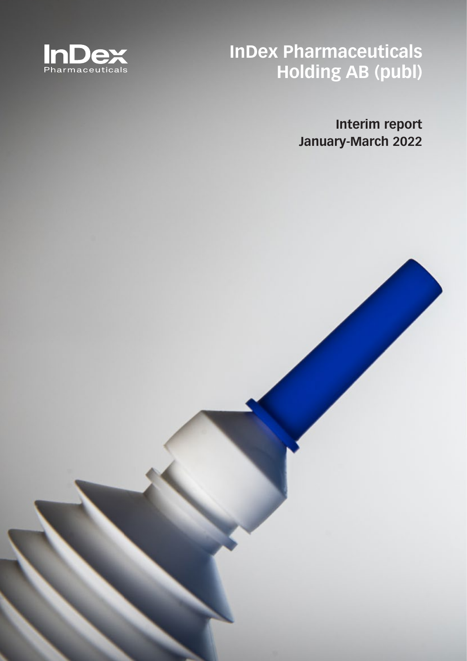

**InDex Pharmaceuticals Holding AB (publ)**

> **Interim report January-March 2022**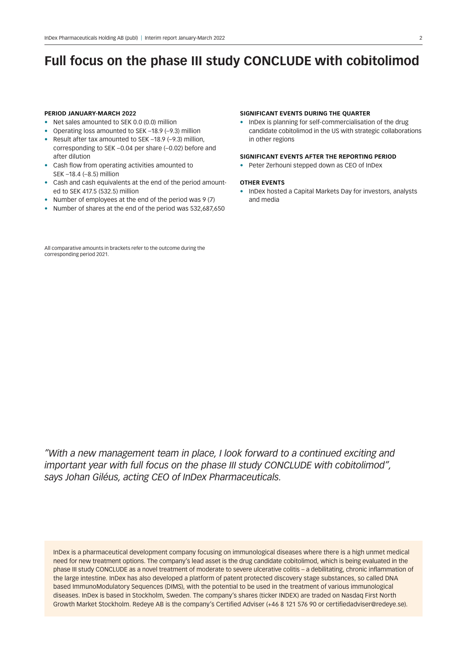# **Full focus on the phase III study CONCLUDE with cobitolimod**

#### **PERIOD JANUARY-MARCH 2022**

- Net sales amounted to SEK 0.0 (0.0) million
- Operating loss amounted to SEK –18.9 (–9.3) million
- Result after tax amounted to SEK –18.9 (–9.3) million, corresponding to SEK –0.04 per share (–0.02) before and after dilution
- Cash flow from operating activities amounted to SEK –18.4 (–8.5) million
- Cash and cash equivalents at the end of the period amounted to SEK 417.5 (532.5) million
- Number of employees at the end of the period was 9 (7)
- Number of shares at the end of the period was 532,687,650

All comparative amounts in brackets refer to the outcome during the corresponding period 2021.

#### **SIGNIFICANT EVENTS DURING THE QUARTER**

• InDex is planning for self-commercialisation of the drug candidate cobitolimod in the US with strategic collaborations in other regions

#### **SIGNIFICANT EVENTS AFTER THE REPORTING PERIOD**

• Peter Zerhouni stepped down as CEO of InDex

### **OTHER EVENTS**

• InDex hosted a Capital Markets Day for investors, analysts and media

*"With a new management team in place, I look forward to a continued exciting and important year with full focus on the phase III study CONCLUDE with cobitolimod", says Johan Giléus, acting CEO of InDex Pharmaceuticals.*

InDex is a pharmaceutical development company focusing on immunological diseases where there is a high unmet medical need for new treatment options. The company's lead asset is the drug candidate cobitolimod, which is being evaluated in the phase III study CONCLUDE as a novel treatment of moderate to severe ulcerative colitis – a debilitating, chronic inflammation of the large intestine. InDex has also developed a platform of patent protected discovery stage substances, so called DNA based ImmunoModulatory Sequences (DIMS), with the potential to be used in the treatment of various immunological diseases. InDex is based in Stockholm, Sweden. The company's shares (ticker INDEX) are traded on Nasdaq First North Growth Market Stockholm. Redeye AB is the company's Certified Adviser (+46 8 121 576 90 or certifiedadviser@redeye.se).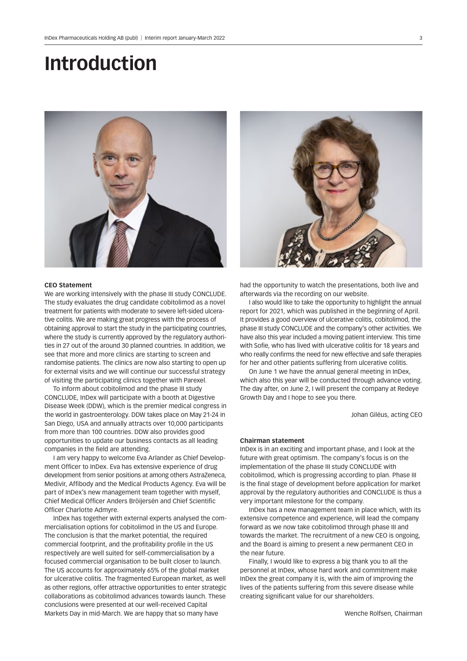# **Introduction**



### **CEO Statement**

We are working intensively with the phase III study CONCLUDE. The study evaluates the drug candidate cobitolimod as a novel treatment for patients with moderate to severe left-sided ulcerative colitis. We are making great progress with the process of obtaining approval to start the study in the participating countries, where the study is currently approved by the regulatory authorities in 27 out of the around 30 planned countries. In addition, we see that more and more clinics are starting to screen and randomise patients. The clinics are now also starting to open up for external visits and we will continue our successful strategy of visiting the participating clinics together with Parexel.

To inform about cobitolimod and the phase III study CONCLUDE, InDex will participate with a booth at Digestive Disease Week (DDW), which is the premier medical congress in the world in gastroenterology. DDW takes place on May 21-24 in San Diego, USA and annually attracts over 10,000 participants from more than 100 countries. DDW also provides good opportunities to update our business contacts as all leading companies in the field are attending.

I am very happy to welcome Eva Arlander as Chief Development Officer to InDex. Eva has extensive experience of drug development from senior positions at among others AstraZeneca, Medivir, Affibody and the Medical Products Agency. Eva will be part of InDex's new management team together with myself, Chief Medical Officer Anders Bröijersén and Chief Scientific Officer Charlotte Admyre.

InDex has together with external experts analysed the commercialisation options for cobitolimod in the US and Europe. The conclusion is that the market potential, the required commercial footprint, and the profitability profile in the US respectively are well suited for self-commercialisation by a focused commercial organisation to be built closer to launch. The US accounts for approximately 65% of the global market for ulcerative colitis. The fragmented European market, as well as other regions, offer attractive opportunities to enter strategic collaborations as cobitolimod advances towards launch. These conclusions were presented at our well-received Capital Markets Day in mid-March. We are happy that so many have



had the opportunity to watch the presentations, both live and afterwards via the recording on our website.

I also would like to take the opportunity to highlight the annual report for 2021, which was published in the beginning of April. It provides a good overview of ulcerative colitis, cobitolimod, the phase III study CONCLUDE and the company's other activities. We have also this year included a moving patient interview. This time with Sofie, who has lived with ulcerative colitis for 18 years and who really confirms the need for new effective and safe therapies for her and other patients suffering from ulcerative colitis.

On June 1 we have the annual general meeting in InDex, which also this year will be conducted through advance voting. The day after, on June 2, I will present the company at Redeye Growth Day and I hope to see you there.

Johan Giléus, acting CEO

### **Chairman statement**

InDex is in an exciting and important phase, and I look at the future with great optimism. The company's focus is on the implementation of the phase III study CONCLUDE with cobitolimod, which is progressing according to plan. Phase III is the final stage of development before application for market approval by the regulatory authorities and CONCLUDE is thus a very important milestone for the company.

InDex has a new management team in place which, with its extensive competence and experience, will lead the company forward as we now take cobitolimod through phase III and towards the market. The recruitment of a new CEO is ongoing, and the Board is aiming to present a new permanent CEO in the near future.

Finally, I would like to express a big thank you to all the personnel at InDex, whose hard work and commitment make InDex the great company it is, with the aim of improving the lives of the patients suffering from this severe disease while creating significant value for our shareholders.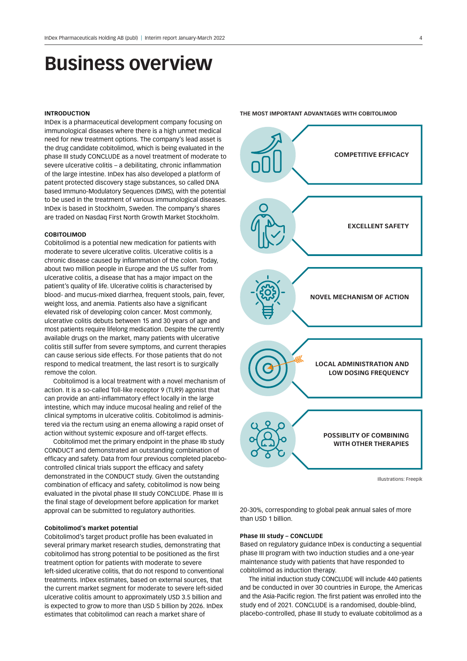# **Business overview**

#### **INTRODUCTION**

InDex is a pharmaceutical development company focusing on immunological diseases where there is a high unmet medical need for new treatment options. The company's lead asset is the drug candidate cobitolimod, which is being evaluated in the phase III study CONCLUDE as a novel treatment of moderate to severe ulcerative colitis – a debilitating, chronic inflammation of the large intestine. InDex has also developed a platform of patent protected discovery stage substances, so called DNA based Immuno-Modulatory Sequences (DIMS), with the potential to be used in the treatment of various immunological diseases. InDex is based in Stockholm, Sweden. The company's shares are traded on Nasdaq First North Growth Market Stockholm.

#### **COBITOLIMOD**

Cobitolimod is a potential new medication for patients with moderate to severe ulcerative colitis. Ulcerative colitis is a chronic disease caused by inflammation of the colon. Today, about two million people in Europe and the US suffer from ulcerative colitis, a disease that has a major impact on the patient's quality of life. Ulcerative colitis is characterised by blood- and mucus-mixed diarrhea, frequent stools, pain, fever, weight loss, and anemia. Patients also have a significant elevated risk of developing colon cancer. Most commonly, ulcerative colitis debuts between 15 and 30 years of age and most patients require lifelong medication. Despite the currently available drugs on the market, many patients with ulcerative colitis still suffer from severe symptoms, and current therapies can cause serious side effects. For those patients that do not respond to medical treatment, the last resort is to surgically remove the colon.

Cobitolimod is a local treatment with a novel mechanism of action. It is a so-called Toll-like receptor 9 (TLR9) agonist that can provide an anti-inflammatory effect locally in the large intestine, which may induce mucosal healing and relief of the clinical symptoms in ulcerative colitis. Cobitolimod is administered via the rectum using an enema allowing a rapid onset of action without systemic exposure and off-target effects.

Cobitolimod met the primary endpoint in the phase IIb study CONDUCT and demonstrated an outstanding combination of efficacy and safety. Data from four previous completed placebocontrolled clinical trials support the efficacy and safety demonstrated in the CONDUCT study. Given the outstanding combination of efficacy and safety, cobitolimod is now being evaluated in the pivotal phase III study CONCLUDE. Phase III is the final stage of development before application for market approval can be submitted to regulatory authorities.

#### **Cobitolimod's market potential**

Cobitolimod's target product profile has been evaluated in several primary market research studies, demonstrating that cobitolimod has strong potential to be positioned as the first treatment option for patients with moderate to severe left-sided ulcerative colitis, that do not respond to conventional treatments. InDex estimates, based on external sources, that the current market segment for moderate to severe left-sided ulcerative colitis amount to approximately USD 3.5 billion and is expected to grow to more than USD 5 billion by 2026. InDex estimates that cobitolimod can reach a market share of



Illustrations: Freepik

20-30%, corresponding to global peak annual sales of more than USD 1 billion.

### **Phase III study – CONCLUDE**

Based on regulatory guidance InDex is conducting a sequential phase III program with two induction studies and a one-year maintenance study with patients that have responded to cobitolimod as induction therapy.

The initial induction study CONCLUDE will include 440 patients and be conducted in over 30 countries in Europe, the Americas and the Asia-Pacific region. The first patient was enrolled into the study end of 2021. CONCLUDE is a randomised, double-blind, placebo-controlled, phase III study to evaluate cobitolimod as a

#### **THE MOST IMPORTANT ADVANTAGES WITH COBITOLIMOD**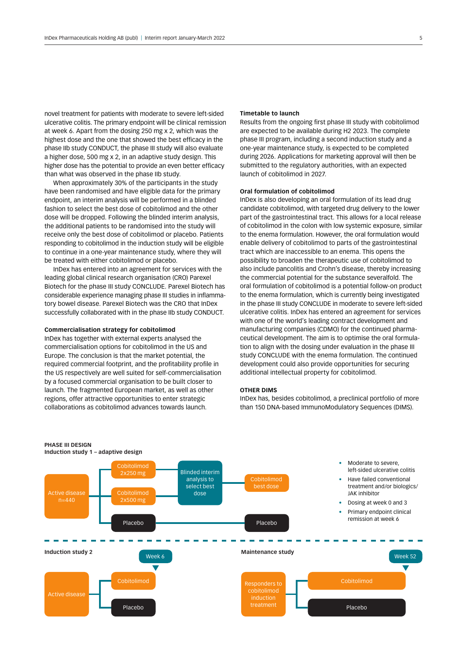novel treatment for patients with moderate to severe left-sided ulcerative colitis. The primary endpoint will be clinical remission at week 6. Apart from the dosing 250 mg x 2, which was the highest dose and the one that showed the best efficacy in the phase IIb study CONDUCT, the phase III study will also evaluate a higher dose, 500 mg x 2, in an adaptive study design. This higher dose has the potential to provide an even better efficacy than what was observed in the phase IIb study.

When approximately 30% of the participants in the study have been randomised and have eligible data for the primary endpoint, an interim analysis will be performed in a blinded fashion to select the best dose of cobitolimod and the other dose will be dropped. Following the blinded interim analysis, the additional patients to be randomised into the study will receive only the best dose of cobitolimod or placebo. Patients responding to cobitolimod in the induction study will be eligible to continue in a one-year maintenance study, where they will be treated with either cobitolimod or placebo.

InDex has entered into an agreement for services with the leading global clinical research organisation (CRO) Parexel Biotech for the phase III study CONCLUDE. Parexel Biotech has considerable experience managing phase III studies in inflammatory bowel disease. Parexel Biotech was the CRO that InDex successfully collaborated with in the phase IIb study CONDUCT.

#### **Commercialisation strategy for cobitolimod**

InDex has together with external experts analysed the commercialisation options for cobitolimod in the US and Europe. The conclusion is that the market potential, the required commercial footprint, and the profitability profile in the US respectively are well suited for self-commercialisation by a focused commercial organisation to be built closer to launch. The fragmented European market, as well as other regions, offer attractive opportunities to enter strategic collaborations as cobitolimod advances towards launch.

#### **Timetable to launch**

Results from the ongoing first phase III study with cobitolimod are expected to be available during H2 2023. The complete phase III program, including a second induction study and a one-year maintenance study, is expected to be completed during 2026. Applications for marketing approval will then be submitted to the regulatory authorities, with an expected launch of cobitolimod in 2027.

#### **Oral formulation of cobitolimod**

InDex is also developing an oral formulation of its lead drug candidate cobitolimod, with targeted drug delivery to the lower part of the gastrointestinal tract. This allows for a local release of cobitolimod in the colon with low systemic exposure, similar to the enema formulation. However, the oral formulation would enable delivery of cobitolimod to parts of the gastrointestinal tract which are inaccessible to an enema. This opens the possibility to broaden the therapeutic use of cobitolimod to also include pancolitis and Crohn's disease, thereby increasing the commercial potential for the substance severalfold. The oral formulation of cobitolimod is a potential follow-on product to the enema formulation, which is currently being investigated in the phase III study CONCLUDE in moderate to severe left-sided ulcerative colitis. InDex has entered an agreement for services with one of the world's leading contract development and manufacturing companies (CDMO) for the continued pharmaceutical development. The aim is to optimise the oral formulation to align with the dosing under evaluation in the phase III study CONCLUDE with the enema formulation. The continued development could also provide opportunities for securing additional intellectual property for cobitolimod.

### **OTHER DIMS**

InDex has, besides cobitolimod, a preclinical portfolio of more than 150 DNA-based ImmunoModulatory Sequences (DIMS).

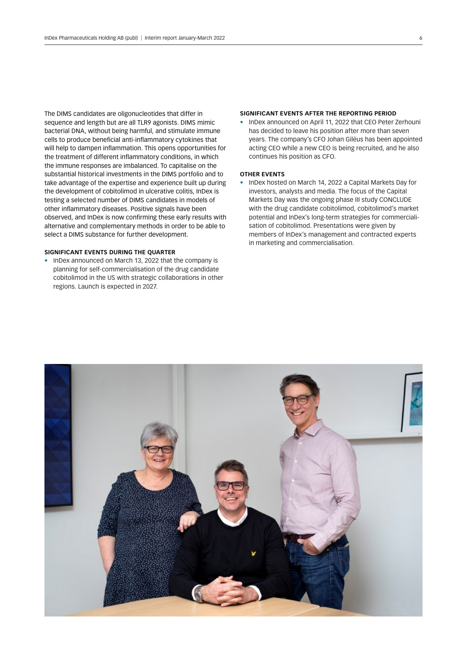The DIMS candidates are oligonucleotides that differ in sequence and length but are all TLR9 agonists. DIMS mimic bacterial DNA, without being harmful, and stimulate immune cells to produce beneficial anti-inflammatory cytokines that will help to dampen inflammation. This opens opportunities for the treatment of different inflammatory conditions, in which the immune responses are imbalanced. To capitalise on the substantial historical investments in the DIMS portfolio and to take advantage of the expertise and experience built up during the development of cobitolimod in ulcerative colitis, InDex is testing a selected number of DIMS candidates in models of other inflammatory diseases. Positive signals have been observed, and InDex is now confirming these early results with alternative and complementary methods in order to be able to select a DIMS substance for further development.

### **SIGNIFICANT EVENTS DURING THE QUARTER**

• InDex announced on March 13, 2022 that the company is planning for self-commercialisation of the drug candidate cobitolimod in the US with strategic collaborations in other regions. Launch is expected in 2027.

#### **SIGNIFICANT EVENTS AFTER THE REPORTING PERIOD**

• InDex announced on April 11, 2022 that CEO Peter Zerhouni has decided to leave his position after more than seven years. The company's CFO Johan Giléus has been appointed acting CEO while a new CEO is being recruited, and he also continues his position as CFO.

### **OTHER EVENTS**

• InDex hosted on March 14, 2022 a Capital Markets Day for investors, analysts and media. The focus of the Capital Markets Day was the ongoing phase III study CONCLUDE with the drug candidate cobitolimod, cobitolimod's market potential and InDex's long-term strategies for commercialisation of cobitolimod. Presentations were given by members of InDex's management and contracted experts in marketing and commercialisation.

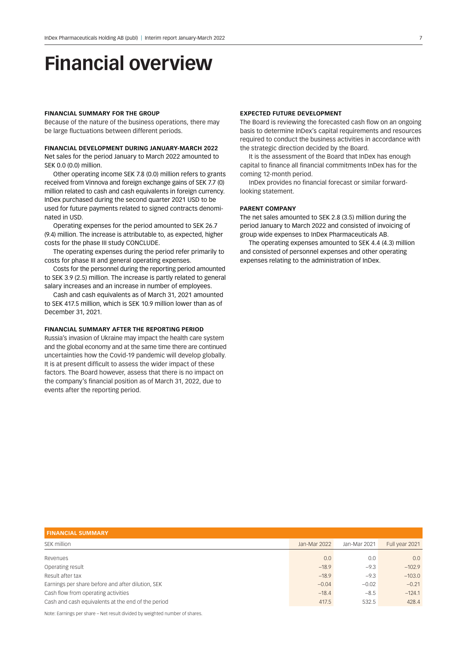# **Financial overview**

#### **FINANCIAL SUMMARY FOR THE GROUP**

Because of the nature of the business operations, there may be large fluctuations between different periods.

#### **FINANCIAL DEVELOPMENT DURING JANUARY-MARCH 2022**

Net sales for the period January to March 2022 amounted to SEK 0.0 (0.0) million.

Other operating income SEK 7.8 (0.0) million refers to grants received from Vinnova and foreign exchange gains of SEK 7.7 (0) million related to cash and cash equivalents in foreign currency. InDex purchased during the second quarter 2021 USD to be used for future payments related to signed contracts denominated in USD.

Operating expenses for the period amounted to SEK 26.7 (9.4) million. The increase is attributable to, as expected, higher costs for the phase III study CONCLUDE.

The operating expenses during the period refer primarily to costs for phase III and general operating expenses.

Costs for the personnel during the reporting period amounted to SEK 3.9 (2.5) million. The increase is partly related to general salary increases and an increase in number of employees.

Cash and cash equivalents as of March 31, 2021 amounted to SEK 417.5 million, which is SEK 10.9 million lower than as of December 31, 2021.

### **FINANCIAL SUMMARY AFTER THE REPORTING PERIOD**

Russia's invasion of Ukraine may impact the health care system and the global economy and at the same time there are continued uncertainties how the Covid-19 pandemic will develop globally. It is at present difficult to assess the wider impact of these factors. The Board however, assess that there is no impact on the company's financial position as of March 31, 2022, due to events after the reporting period.

#### **EXPECTED FUTURE DEVELOPMENT**

The Board is reviewing the forecasted cash flow on an ongoing basis to determine InDex's capital requirements and resources required to conduct the business activities in accordance with the strategic direction decided by the Board.

It is the assessment of the Board that InDex has enough capital to finance all financial commitments InDex has for the coming 12-month period.

InDex provides no financial forecast or similar forwardlooking statement.

### **PARENT COMPANY**

The net sales amounted to SEK 2.8 (3.5) million during the period January to March 2022 and consisted of invoicing of group wide expenses to InDex Pharmaceuticals AB.

The operating expenses amounted to SEK 4.4 (4.3) million and consisted of personnel expenses and other operating expenses relating to the administration of InDex.

| <b>FINANCIAL SUMMARY</b>                           |              |              |                |
|----------------------------------------------------|--------------|--------------|----------------|
| SEK million                                        | Jan-Mar 2022 | Jan-Mar 2021 | Full year 2021 |
| Revenues                                           | 0.0          | 0.0          | 0.0            |
| Operating result                                   | $-18.9$      | $-9.3$       | $-102.9$       |
| Result after tax                                   | $-18.9$      | $-9.3$       | $-103.0$       |
| Earnings per share before and after dilution, SEK  | $-0.04$      | $-0.02$      | $-0.21$        |
| Cash flow from operating activities                | $-18.4$      | $-8.5$       | $-124.1$       |
| Cash and cash equivalents at the end of the period | 417.5        | 532.5        | 428.4          |

Note: Earnings per share – Net result divided by weighted number of shares.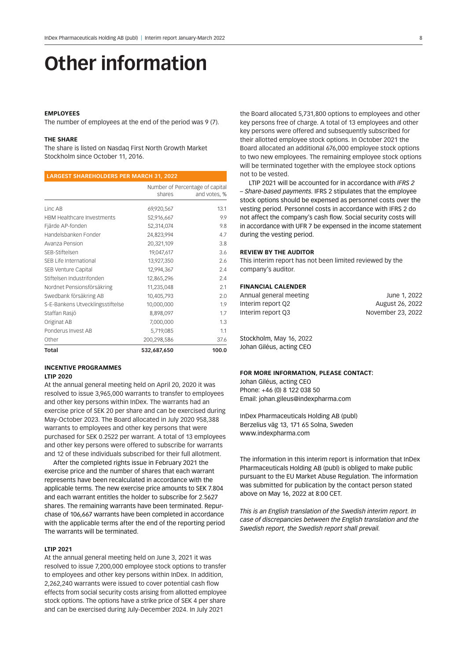# **Other information**

#### **EMPLOYEES**

The number of employees at the end of the period was 9 (7).

#### **THE SHARE**

The share is listed on Nasdaq First North Growth Market Stockholm since October 11, 2016.

|                                   | shares      | Number of Percentage of capital<br>and votes, % |
|-----------------------------------|-------------|-------------------------------------------------|
|                                   |             |                                                 |
| Linc AB                           | 69,920,567  | 13.1                                            |
| <b>HBM Healthcare Investments</b> | 52,916,667  | 9.9                                             |
| Fjärde AP-fonden                  | 52,314,074  | 9.8                                             |
| Handelsbanken Fonder              | 24,823,994  | 4.7                                             |
| Avanza Pension                    | 20,321,109  | 3.8                                             |
| SEB-Stiftelsen                    | 19,047,617  | 3.6                                             |
| SEB Life International            | 13,927,350  | 2.6                                             |
| SEB Venture Capital               | 12,994,367  | 2.4                                             |
| Stiftelsen Industrifonden         | 12,865,296  | 2.4                                             |
| Nordnet Pensionsförsäkring        | 11,235,048  | 2.1                                             |
| Swedbank försäkring AB            | 10,405,793  | 2.0                                             |
| S-E-Bankens Utvecklingsstiftelse  | 10,000,000  | 1.9                                             |
| Staffan Rasjö                     | 8,898,097   | 1.7                                             |
| Originat AB                       | 7,000,000   | 1.3                                             |
| Ponderus Invest AB                | 5,719,085   | 1.1                                             |
| Other                             | 200,298,586 | 37.6                                            |
| Total                             | 532,687,650 | 100.0                                           |

#### **INCENTIVE PROGRAMMES LTIP 2020**

At the annual general meeting held on April 20, 2020 it was resolved to issue 3,965,000 warrants to transfer to employees and other key persons within InDex. The warrants had an exercise price of SEK 20 per share and can be exercised during May-October 2023. The Board allocated in July 2020 958,388 warrants to employees and other key persons that were purchased for SEK 0.2522 per warrant. A total of 13 employees and other key persons were offered to subscribe for warrants and 12 of these individuals subscribed for their full allotment.

After the completed rights issue in February 2021 the exercise price and the number of shares that each warrant represents have been recalculated in accordance with the applicable terms. The new exercise price amounts to SEK 7.804 and each warrant entitles the holder to subscribe for 2.5627 shares. The remaining warrants have been terminated. Repurchase of 106,667 warrants have been completed in accordance with the applicable terms after the end of the reporting period The warrants will be terminated.

### **LTIP 2021**

At the annual general meeting held on June 3, 2021 it was resolved to issue 7,200,000 employee stock options to transfer to employees and other key persons within InDex. In addition, 2,262,240 warrants were issued to cover potential cash flow effects from social security costs arising from allotted employee stock options. The options have a strike price of SEK 4 per share and can be exercised during July-December 2024. In July 2021

the Board allocated 5,731,800 options to employees and other key persons free of charge. A total of 13 employees and other key persons were offered and subsequently subscribed for their allotted employee stock options. In October 2021 the Board allocated an additional 676,000 employee stock options to two new employees. The remaining employee stock options will be terminated together with the employee stock options not to be vested.

LTIP 2021 will be accounted for in accordance with *IFRS 2 – Share-based payments*. IFRS 2 stipulates that the employee stock options should be expensed as personnel costs over the vesting period. Personnel costs in accordance with IFRS 2 do not affect the company's cash flow. Social security costs will in accordance with UFR 7 be expensed in the income statement during the vesting period.

#### **REVIEW BY THE AUDITOR**

This interim report has not been limited reviewed by the company's auditor.

# **FINANCIAL CALENDER**

| June 1, 2022      |
|-------------------|
| August 26, 2022   |
| November 23, 2022 |
|                   |

Stockholm, May 16, 2022 Johan Giléus, acting CEO

#### **FOR MORE INFORMATION, PLEASE CONTACT:**

Johan Giléus, acting CEO Phone: +46 (0) 8 122 038 50 Email: johan.gileus@indexpharma.com

InDex Pharmaceuticals Holding AB (publ) Berzelius väg 13, 171 65 Solna, Sweden www.indexpharma.com

The information in this interim report is information that InDex Pharmaceuticals Holding AB (publ) is obliged to make public pursuant to the EU Market Abuse Regulation. The information was submitted for publication by the contact person stated above on May 16, 2022 at 8:00 CET.

*This is an English translation of the Swedish interim report. In case of discrepancies between the English translation and the Swedish report, the Swedish report shall prevail.*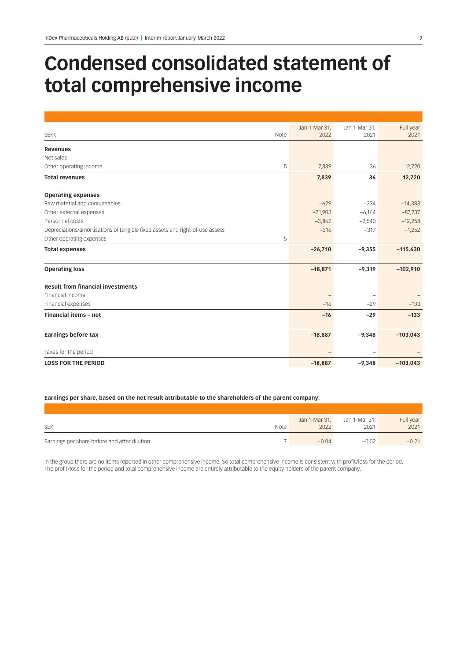# **Condensed consolidated statement of total comprehensive income**

|                                                                              | Jan 1-Mar 31, | Jan 1-Mar 31, | Full year  |
|------------------------------------------------------------------------------|---------------|---------------|------------|
| <b>SEKK</b><br>Note                                                          | 2022          | 2021          | 2021       |
| <b>Revenues</b>                                                              |               |               |            |
| Net sales                                                                    |               |               |            |
| Other operating income<br>5                                                  | 7,839         | 36            | 12,720     |
| <b>Total revenues</b>                                                        | 7,839         | 36            | 12,720     |
| <b>Operating expenses</b>                                                    |               |               |            |
| Raw material and consumables                                                 | $-629$        | $-334$        | $-14,383$  |
| Other external expenses                                                      | $-21,903$     | $-6,164$      | $-87,737$  |
| Personnel costs                                                              | $-3,862$      | $-2,540$      | $-12,258$  |
| Depreciations/amortisations of tangible fixed assets and right-of-use assets | $-316$        | $-317$        | $-1,252$   |
| Other operating expenses<br>5                                                |               |               |            |
| <b>Total expenses</b>                                                        | $-26,710$     | $-9,355$      | $-115,630$ |
| <b>Operating loss</b>                                                        | $-18,871$     | $-9,319$      | $-102,910$ |
|                                                                              |               |               |            |
| <b>Result from financial investments</b>                                     |               |               |            |
| Financial income                                                             |               |               |            |
| Financial expenses                                                           | $-16$         | $-29$         | $-133$     |
| Financial items - net                                                        | $-16$         | $-29$         | $-133$     |
| <b>Earnings before tax</b>                                                   | $-18,887$     | $-9,348$      | $-103,043$ |
| Taxes for the period                                                         |               |               |            |
| <b>LOSS FOR THE PERIOD</b>                                                   | $-18,887$     | $-9,348$      | $-103,043$ |

# **Earnings per share, based on the net result attributable to the shareholders of the parent company:**

| <b>SEK</b>                                   | <b>Note</b> | 2022    | Jan 1-Mar 31, Jan 1-Mar 31,<br>2021 | Full year<br>2021 |
|----------------------------------------------|-------------|---------|-------------------------------------|-------------------|
|                                              |             |         |                                     |                   |
| Earnings per share before and after dilution |             | $-0.04$ | $-0.02$                             | $-0.21$           |

In the group there are no items reported in other comprehensive income. So total comprehensive income is consistent with profit/loss for the period. The profit/loss for the period and total comprehensive income are entirely attributable to the equity holders of the parent company.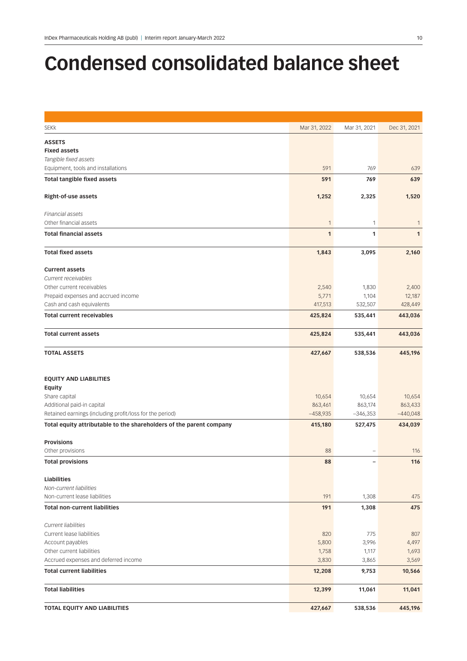# **Condensed consolidated balance sheet**

| <b>SEKK</b>                                                              | Mar 31, 2022    | Mar 31, 2021   | Dec 31, 2021    |
|--------------------------------------------------------------------------|-----------------|----------------|-----------------|
| <b>ASSETS</b>                                                            |                 |                |                 |
| <b>Fixed assets</b>                                                      |                 |                |                 |
| Tangible fixed assets                                                    |                 |                |                 |
| Equipment, tools and installations                                       | 591             | 769            | 639             |
| <b>Total tangible fixed assets</b>                                       | 591             | 769            | 639             |
| Right-of-use assets                                                      | 1,252           | 2,325          | 1,520           |
| Financial assets                                                         |                 |                |                 |
| Other financial assets                                                   | 1               | 1              | $\mathbf{1}$    |
| <b>Total financial assets</b>                                            | $\mathbf{1}$    | 1              | $\mathbf{1}$    |
|                                                                          |                 |                |                 |
| <b>Total fixed assets</b>                                                | 1,843           | 3,095          | 2,160           |
| <b>Current assets</b>                                                    |                 |                |                 |
| Current receivables                                                      |                 |                |                 |
| Other current receivables                                                | 2,540           | 1,830          | 2,400           |
| Prepaid expenses and accrued income                                      | 5,771           | 1,104          | 12,187          |
| Cash and cash equivalents                                                | 417,513         | 532,507        | 428,449         |
| <b>Total current receivables</b>                                         | 425,824         | 535,441        | 443,036         |
| <b>Total current assets</b>                                              | 425,824         | 535,441        | 443,036         |
| <b>TOTAL ASSETS</b>                                                      | 427,667         | 538,536        | 445,196         |
|                                                                          |                 |                |                 |
| <b>EQUITY AND LIABILITIES</b>                                            |                 |                |                 |
| Equity                                                                   |                 |                |                 |
| Share capital                                                            | 10,654          | 10,654         | 10,654          |
| Additional paid-in capital                                               | 863,461         | 863,174        | 863,433         |
| Retained earnings (including profit/loss for the period)                 | $-458,935$      | $-346,353$     | $-440,048$      |
| Total equity attributable to the shareholders of the parent company      | 415,180         | 527,475        | 434,039         |
| <b>Provisions</b>                                                        |                 |                |                 |
| Other provisions                                                         | 88              |                | 116             |
| <b>Total provisions</b>                                                  | 88              |                | 116             |
|                                                                          |                 |                |                 |
| Liabilities<br>Non-current liabilities                                   |                 |                |                 |
| Non-current lease liabilities                                            | 191             | 1,308          | 475             |
| <b>Total non-current liabilities</b>                                     | 191             | 1,308          | 475             |
|                                                                          |                 |                |                 |
| <b>Current liabilities</b>                                               |                 |                |                 |
| Current lease liabilities                                                | 820             | 775            | 807             |
| Account payables                                                         | 5,800           | 3,996          | 4,497           |
| Other current liabilities                                                | 1,758           | 1,117          | 1,693           |
| Accrued expenses and deferred income<br><b>Total current liabilities</b> | 3,830<br>12,208 | 3,865<br>9,753 | 3,569<br>10,566 |
|                                                                          |                 |                |                 |
| <b>Total liabilities</b>                                                 | 12,399          | 11,061         | 11,041          |
| TOTAL EQUITY AND LIABILITIES                                             | 427,667         | 538,536        | 445,196         |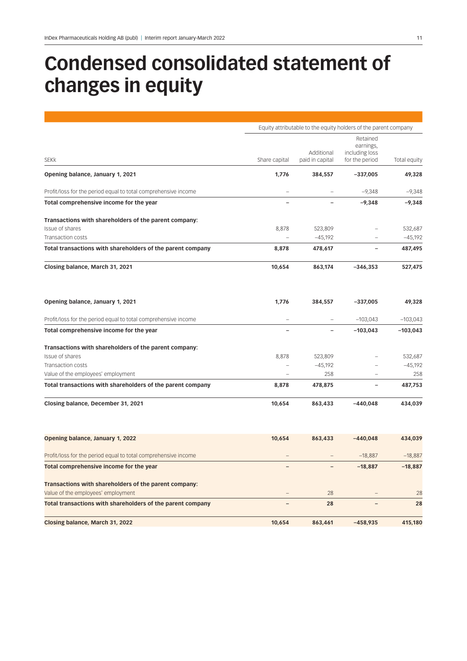# **Condensed consolidated statement of changes in equity**

|                                                                                                  | Equity attributable to the equity holders of the parent company |                               |                                                           |                      |  |
|--------------------------------------------------------------------------------------------------|-----------------------------------------------------------------|-------------------------------|-----------------------------------------------------------|----------------------|--|
| <b>SEKK</b>                                                                                      | Share capital                                                   | Additional<br>paid in capital | Retained<br>earnings,<br>including loss<br>for the period | Total equity         |  |
| Opening balance, January 1, 2021                                                                 | 1,776                                                           | 384,557                       | $-337,005$                                                | 49,328               |  |
| Profit/loss for the period equal to total comprehensive income                                   |                                                                 |                               | $-9,348$                                                  | $-9,348$             |  |
| Total comprehensive income for the year                                                          |                                                                 |                               | $-9,348$                                                  | $-9,348$             |  |
| Transactions with shareholders of the parent company:                                            |                                                                 |                               |                                                           |                      |  |
| Issue of shares                                                                                  | 8,878                                                           | 523,809                       | $\overline{\phantom{m}}$                                  | 532,687              |  |
| Transaction costs<br>Total transactions with shareholders of the parent company                  | 8,878                                                           | $-45,192$<br>478,617          |                                                           | $-45,192$<br>487,495 |  |
| Closing balance, March 31, 2021                                                                  | 10,654                                                          | 863,174                       | $-346,353$                                                | 527,475              |  |
| Opening balance, January 1, 2021                                                                 | 1,776                                                           | 384,557                       | $-337,005$                                                | 49,328               |  |
| Profit/loss for the period equal to total comprehensive income                                   |                                                                 |                               | $-103,043$                                                | $-103,043$           |  |
| Total comprehensive income for the year                                                          |                                                                 |                               | $-103,043$                                                | $-103,043$           |  |
| Transactions with shareholders of the parent company:                                            |                                                                 |                               |                                                           |                      |  |
| <b>Issue of shares</b>                                                                           | 8,878                                                           | 523,809                       |                                                           | 532,687              |  |
| Transaction costs                                                                                |                                                                 | $-45,192$                     |                                                           | $-45,192$            |  |
| Value of the employees' employment<br>Total transactions with shareholders of the parent company | 8,878                                                           | 258<br>478,875                |                                                           | 258<br>487,753       |  |
| Closing balance, December 31, 2021                                                               | 10,654                                                          | 863,433                       | $-440,048$                                                | 434,039              |  |
| Opening balance, January 1, 2022                                                                 | 10,654                                                          | 863,433                       | $-440,048$                                                | 434,039              |  |
| Profit/loss for the period equal to total comprehensive income                                   |                                                                 |                               | $-18,887$                                                 | $-18,887$            |  |
| Total comprehensive income for the year                                                          |                                                                 |                               | $-18,887$                                                 | $-18,887$            |  |
| Transactions with shareholders of the parent company:                                            |                                                                 |                               |                                                           |                      |  |
| Value of the employees' employment                                                               |                                                                 | 28                            |                                                           | 28                   |  |
| Total transactions with shareholders of the parent company                                       |                                                                 | 28                            |                                                           | 28                   |  |
| Closing balance, March 31, 2022                                                                  | 10,654                                                          | 863,461                       | $-458,935$                                                | 415,180              |  |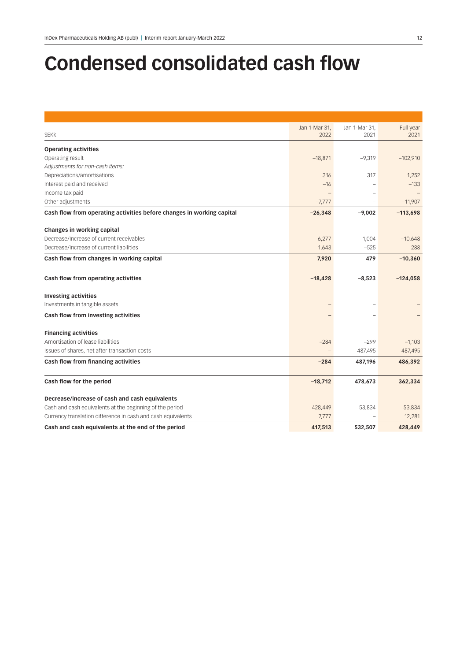# **Condensed consolidated cash flow**

|                                                                       | Jan 1-Mar 31, | Jan 1-Mar 31, | Full year  |
|-----------------------------------------------------------------------|---------------|---------------|------------|
| <b>SEKK</b>                                                           | 2022          | 2021          | 2021       |
| <b>Operating activities</b>                                           |               |               |            |
| Operating result                                                      | $-18,871$     | $-9,319$      | $-102,910$ |
| Adjustments for non-cash items:                                       |               |               |            |
| Depreciations/amortisations                                           | 316           | 317           | 1,252      |
| Interest paid and received                                            | $-16$         |               | $-133$     |
| Income tax paid                                                       |               |               |            |
| Other adjustments                                                     | $-7,777$      |               | $-11,907$  |
| Cash flow from operating activities before changes in working capital | $-26,348$     | $-9,002$      | $-113,698$ |
| Changes in working capital                                            |               |               |            |
| Decrease/Increase of current receivables                              | 6,277         | 1,004         | $-10,648$  |
| Decrease/Increase of current liabilities                              | 1,643         | $-525$        | 288        |
| Cash flow from changes in working capital                             | 7,920         | 479           | $-10,360$  |
|                                                                       |               |               |            |
| Cash flow from operating activities                                   | $-18,428$     | $-8,523$      | $-124,058$ |
| <b>Investing activities</b>                                           |               |               |            |
| Investments in tangible assets                                        |               |               |            |
| Cash flow from investing activities                                   |               |               |            |
| <b>Financing activities</b>                                           |               |               |            |
| Amortisation of lease liabilities                                     | $-284$        | $-299$        | $-1,103$   |
| Issues of shares, net after transaction costs                         |               | 487,495       | 487,495    |
| Cash flow from financing activities                                   | $-284$        | 487,196       | 486,392    |
|                                                                       |               |               |            |
| Cash flow for the period                                              | $-18,712$     | 478,673       | 362,334    |
| Decrease/increase of cash and cash equivalents                        |               |               |            |
| Cash and cash equivalents at the beginning of the period              | 428,449       | 53,834        | 53,834     |
| Currency translation difference in cash and cash equivalents          | 7,777         |               | 12,281     |
| Cash and cash equivalents at the end of the period                    | 417,513       | 532,507       | 428,449    |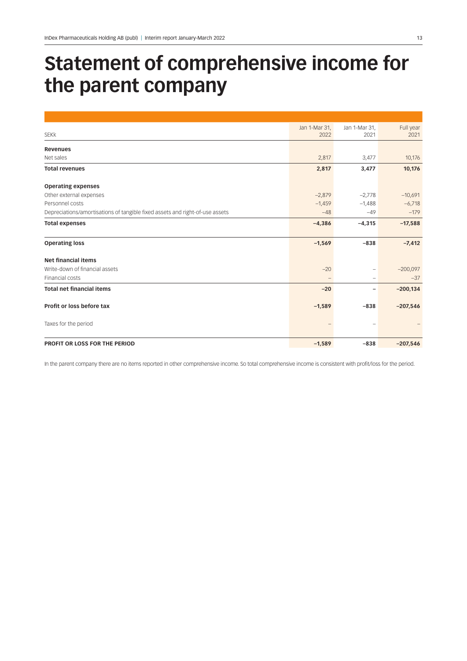# **Statement of comprehensive income for the parent company**

|                                                                              | Jan 1-Mar 31,     | Jan 1-Mar 31,            | Full year  |
|------------------------------------------------------------------------------|-------------------|--------------------------|------------|
| <b>SEKK</b>                                                                  | 2022              | 2021                     | 2021       |
| <b>Revenues</b>                                                              |                   |                          |            |
| Net sales                                                                    | 2,817             | 3,477                    | 10,176     |
| <b>Total revenues</b>                                                        | 2,817             | 3,477                    | 10,176     |
| <b>Operating expenses</b>                                                    |                   |                          |            |
| Other external expenses                                                      | $-2,879$          | $-2,778$                 | $-10,691$  |
| Personnel costs                                                              | $-1,459$          | $-1,488$                 | $-6,718$   |
| Depreciations/amortisations of tangible fixed assets and right-of-use assets | $-48$             | $-49$                    | $-179$     |
| <b>Total expenses</b>                                                        | $-4,386$          | $-4,315$                 | $-17,588$  |
| <b>Operating loss</b>                                                        | $-1,569$          | $-838$                   | $-7,412$   |
| <b>Net financial items</b>                                                   |                   |                          |            |
| Write-down of financial assets                                               | $-20$             | -                        | $-200,097$ |
| Financial costs                                                              | $\qquad \qquad -$ | -                        | $-37$      |
| <b>Total net financial items</b>                                             | $-20$             | $\overline{\phantom{0}}$ | $-200,134$ |
| Profit or loss before tax                                                    | $-1,589$          | $-838$                   | $-207,546$ |
| Taxes for the period                                                         |                   |                          |            |
| PROFIT OR LOSS FOR THE PERIOD                                                | $-1,589$          | $-838$                   | $-207,546$ |

In the parent company there are no items reported in other comprehensive income. So total comprehensive income is consistent with profit/loss for the period.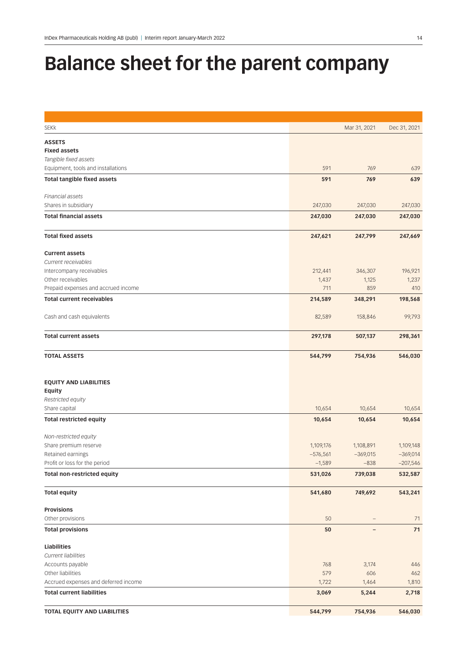# **Balance sheet for the parent company**

| <b>SEKK</b>                                               |              | Mar 31, 2021 | Dec 31, 2021 |
|-----------------------------------------------------------|--------------|--------------|--------------|
| <b>ASSETS</b>                                             |              |              |              |
| <b>Fixed assets</b>                                       |              |              |              |
| Tangible fixed assets                                     |              |              |              |
| Equipment, tools and installations                        | 591          | 769          | 639          |
| <b>Total tangible fixed assets</b>                        | 591          | 769          | 639          |
|                                                           |              |              |              |
| Financial assets                                          |              |              |              |
| Shares in subsidiary                                      | 247,030      | 247,030      | 247,030      |
| <b>Total financial assets</b>                             | 247,030      | 247,030      | 247,030      |
| <b>Total fixed assets</b>                                 | 247,621      | 247,799      | 247,669      |
| <b>Current assets</b>                                     |              |              |              |
| Current receivables                                       |              |              |              |
| Intercompany receivables                                  | 212,441      | 346,307      | 196,921      |
| Other receivables                                         | 1,437        | 1,125        | 1,237        |
| Prepaid expenses and accrued income                       | 711          | 859          | 410          |
| <b>Total current receivables</b>                          | 214,589      | 348,291      | 198,568      |
| Cash and cash equivalents                                 | 82,589       | 158,846      | 99,793       |
| <b>Total current assets</b>                               | 297,178      | 507,137      | 298,361      |
| <b>TOTAL ASSETS</b>                                       | 544,799      | 754,936      | 546,030      |
| <b>EQUITY AND LIABILITIES</b><br>Equity                   |              |              |              |
| Restricted equity                                         |              |              |              |
| Share capital                                             | 10,654       | 10,654       | 10,654       |
| <b>Total restricted equity</b>                            | 10,654       | 10,654       | 10,654       |
| Non-restricted equity                                     |              |              |              |
| Share premium reserve                                     | 1,109,176    | 1,108,891    | 1,109,148    |
| Retained earnings                                         | $-576,561$   | $-369,015$   | $-369,014$   |
| Profit or loss for the period                             | $-1,589$     | $-838$       | $-207,546$   |
| Total non-restricted equity                               | 531,026      | 739,038      | 532,587      |
| <b>Total equity</b>                                       | 541,680      | 749,692      | 543,241      |
| <b>Provisions</b>                                         |              |              |              |
| Other provisions                                          | 50           |              | 71           |
| <b>Total provisions</b>                                   | 50           |              | 71           |
|                                                           |              |              |              |
| Liabilities                                               |              |              |              |
| Current liabilities                                       |              |              |              |
| Accounts payable                                          | 768          | 3,174        | 446          |
| Other liabilities<br>Accrued expenses and deferred income | 579<br>1,722 | 606<br>1,464 | 462<br>1,810 |
| <b>Total current liabilities</b>                          | 3,069        | 5,244        | 2,718        |
|                                                           |              |              |              |
| TOTAL EQUITY AND LIABILITIES                              | 544,799      | 754,936      | 546,030      |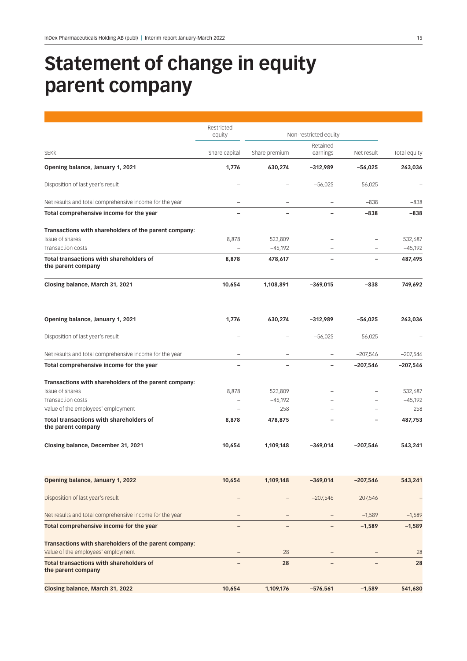# **Statement of change in equity parent company**

|                                                                      | Restricted<br>equity     | Non-restricted equity |            |            |              |  |
|----------------------------------------------------------------------|--------------------------|-----------------------|------------|------------|--------------|--|
|                                                                      |                          |                       | Retained   |            |              |  |
| <b>SEKK</b>                                                          | Share capital            | Share premium         | earnings   | Net result | Total equity |  |
| Opening balance, January 1, 2021                                     | 1,776                    | 630,274               | $-312.989$ | $-56,025$  | 263,036      |  |
| Disposition of last year's result                                    |                          |                       | $-56,025$  | 56,025     |              |  |
| Net results and total comprehensive income for the year              | $\overline{ }$           |                       |            | $-838$     | $-838$       |  |
| Total comprehensive income for the year                              | $\overline{\phantom{0}}$ |                       |            | $-838$     | $-838$       |  |
| Transactions with shareholders of the parent company:                |                          |                       |            |            |              |  |
| Issue of shares                                                      | 8,878                    | 523,809               |            |            | 532,687      |  |
| Transaction costs                                                    |                          | $-45,192$             |            |            | $-45,192$    |  |
| Total transactions with shareholders of<br>the parent company        | 8,878                    | 478,617               |            |            | 487,495      |  |
| Closing balance, March 31, 2021                                      | 10,654                   | 1,108,891             | $-369,015$ | $-838$     | 749,692      |  |
| Opening balance, January 1, 2021                                     | 1,776                    | 630,274               | -312,989   | $-56,025$  | 263,036      |  |
| Disposition of last year's result                                    |                          |                       | $-56,025$  | 56,025     |              |  |
| Net results and total comprehensive income for the year              | -                        |                       |            | $-207,546$ | $-207,546$   |  |
| Total comprehensive income for the year                              |                          |                       |            | $-207,546$ | $-207,546$   |  |
| Transactions with shareholders of the parent company:                |                          |                       |            |            |              |  |
| Issue of shares                                                      | 8,878                    | 523,809               |            |            | 532,687      |  |
| Transaction costs                                                    |                          | $-45,192$             |            |            | $-45,192$    |  |
| Value of the employees' employment                                   |                          | 258                   |            |            | 258          |  |
| Total transactions with shareholders of<br>the parent company        | 8,878                    | 478,875               |            | -          | 487,753      |  |
| Closing balance, December 31, 2021                                   | 10,654                   | 1,109,148             | $-369,014$ | $-207,546$ | 543,241      |  |
| Opening balance, January 1, 2022                                     | 10,654                   | 1,109,148             | $-369,014$ | $-207,546$ | 543,241      |  |
| Disposition of last year's result                                    |                          |                       | $-207,546$ | 207,546    |              |  |
| Net results and total comprehensive income for the year              |                          |                       |            | $-1,589$   | $-1,589$     |  |
| Total comprehensive income for the year                              |                          |                       |            | $-1,589$   | $-1,589$     |  |
| Transactions with shareholders of the parent company:                |                          |                       |            |            |              |  |
| Value of the employees' employment                                   | $\qquad \qquad -$        | 28                    |            |            | 28           |  |
| <b>Total transactions with shareholders of</b><br>the parent company |                          | 28                    |            |            | 28           |  |
| Closing balance, March 31, 2022                                      | 10,654                   | 1,109,176             | $-576,561$ | $-1,589$   | 541,680      |  |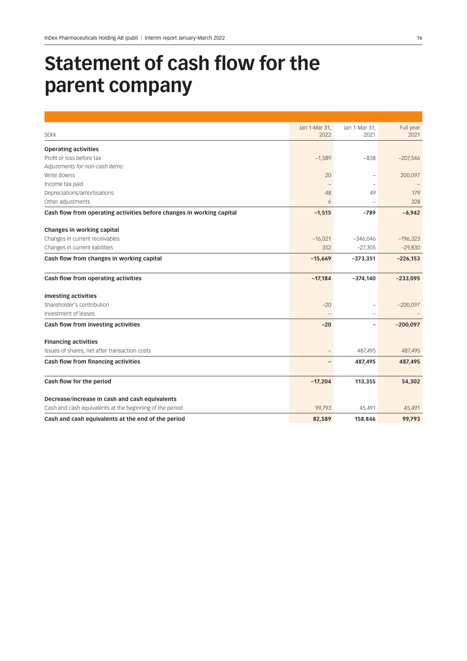# **Statement of cash flow for the parent company**

|                                                                       | Jan 1-Mar 31, | Jan 1-Mar 31,     | Full year  |
|-----------------------------------------------------------------------|---------------|-------------------|------------|
| <b>SEKK</b>                                                           | 2022          | 2021              | 2021       |
| <b>Operating activities</b>                                           |               |                   |            |
| Profit or loss before tax                                             | $-1,589$      | $-838$            | $-207,546$ |
| Adjustments for non-cash items:                                       |               |                   |            |
| Write downs                                                           | 20            |                   | 200,097    |
| Income tax paid                                                       |               |                   |            |
| Depreciations/amortisations                                           | 48            | 49                | 179        |
| Other adjustments                                                     | 6             |                   | 328        |
| Cash flow from operating activities before changes in working capital | $-1,515$      | $-789$            | $-6,942$   |
| Changes in working capital                                            |               |                   |            |
| Changes in current receivables                                        | $-16,021$     | $-346,046$        | $-196,323$ |
| Changes in current liabilities                                        | 352           | $-27,305$         | $-29,830$  |
| Cash flow from changes in working capital                             | $-15,669$     | $-373,351$        | $-226,153$ |
| Cash flow from operating activities                                   | $-17,184$     | $-374,140$        | $-233,095$ |
| <b>Investing activities</b>                                           |               |                   |            |
| Shareholder's contribution                                            | $-20$         |                   | $-200,097$ |
| Investment of leases                                                  | $\equiv$      |                   |            |
| Cash flow from investing activities                                   | $-20$         | $\qquad \qquad -$ | $-200,097$ |
| <b>Financing activities</b>                                           |               |                   |            |
| Issues of shares, net after transaction costs                         |               | 487,495           | 487,495    |
| Cash flow from financing activities                                   |               | 487,495           | 487,495    |
| Cash flow for the period                                              | $-17,204$     | 113,355           | 54,302     |
|                                                                       |               |                   |            |
| Decrease/increase in cash and cash equivalents                        |               |                   |            |
| Cash and cash equivalents at the beginning of the period              | 99,793        | 45,491            | 45,491     |
| Cash and cash equivalents at the end of the period                    | 82,589        | 158,846           | 99,793     |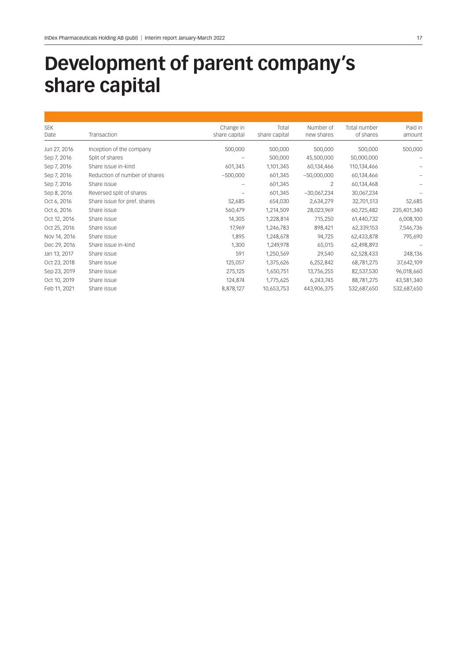# **Development of parent company's share capital**

| <b>SEK</b>   |                               | Change in     | Total         | Number of     | Total number | Paid in     |
|--------------|-------------------------------|---------------|---------------|---------------|--------------|-------------|
| Date         | Transaction                   | share capital | share capital | new shares    | of shares    | amount      |
| Jun 27, 2016 | Inception of the company      | 500,000       | 500,000       | 500,000       | 500,000      | 500,000     |
| Sep 7, 2016  | Split of shares               |               | 500,000       | 45,500,000    | 50,000,000   |             |
| Sep 7, 2016  | Share issue in-kind           | 601,345       | 1,101,345     | 60,134,466    | 110,134,466  |             |
| Sep 7, 2016  | Reduction of number of shares | $-500,000$    | 601,345       | $-50,000,000$ | 60,134,466   |             |
| Sep 7, 2016  | Share issue                   |               | 601,345       | 2             | 60,134,468   |             |
| Sep 8, 2016  | Reversed split of shares      |               | 601,345       | $-30,067,234$ | 30,067,234   |             |
| Oct 6, 2016  | Share issue for pref. shares  | 52,685        | 654,030       | 2,634,279     | 32,701,513   | 52,685      |
| Oct 6, 2016  | Share issue                   | 560,479       | 1,214,509     | 28,023,969    | 60,725,482   | 235,401,340 |
| Oct 12, 2016 | Share issue                   | 14,305        | 1,228,814     | 715,250       | 61,440,732   | 6,008,100   |
| Oct 25, 2016 | Share issue                   | 17,969        | 1,246,783     | 898,421       | 62,339,153   | 7,546,736   |
| Nov 14, 2016 | Share issue                   | 1,895         | 1,248,678     | 94,725        | 62,433,878   | 795,690     |
| Dec 29, 2016 | Share issue in-kind           | 1,300         | 1,249,978     | 65,015        | 62,498,893   |             |
| Jan 13, 2017 | Share issue                   | 591           | 1,250,569     | 29,540        | 62,528,433   | 248,136     |
| Oct 23, 2018 | Share issue                   | 125,057       | 1,375,626     | 6,252,842     | 68,781,275   | 37,642,109  |
| Sep 23, 2019 | Share issue                   | 275,125       | 1,650,751     | 13,756,255    | 82,537,530   | 96,018,660  |
| Oct 10, 2019 | Share issue                   | 124,874       | 1,775,625     | 6,243,745     | 88,781,275   | 43,581,340  |
| Feb 11, 2021 | Share issue                   | 8,878,127     | 10,653,753    | 443,906,375   | 532,687,650  | 532,687,650 |
|              |                               |               |               |               |              |             |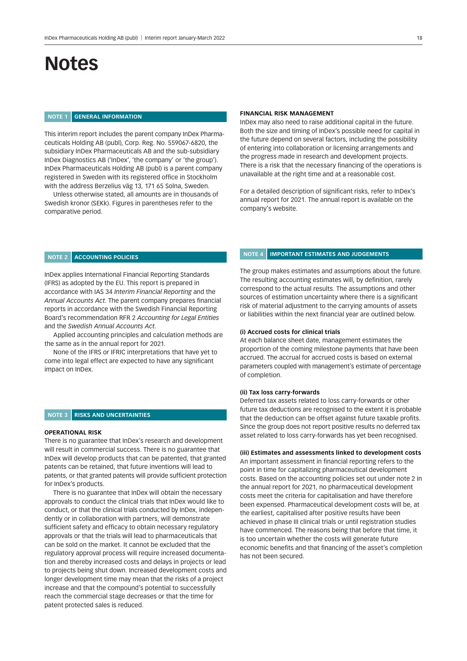# **Notes**

# **NOTE 1 GENERAL INFORMATION**

This interim report includes the parent company InDex Pharmaceuticals Holding AB (publ), Corp. Reg. No. 559067-6820, the subsidiary InDex Pharmaceuticals AB and the sub-subsidiary InDex Diagnostics AB ('InDex', 'the company' or 'the group'). InDex Pharmaceuticals Holding AB (publ) is a parent company registered in Sweden with its registered office in Stockholm with the address Berzelius väg 13, 171 65 Solna, Sweden.

Unless otherwise stated, all amounts are in thousands of Swedish kronor (SEKk). Figures in parentheses refer to the comparative period.

#### **FINANCIAL RISK MANAGEMENT**

InDex may also need to raise additional capital in the future. Both the size and timing of InDex's possible need for capital in the future depend on several factors, including the possibility of entering into collaboration or licensing arrangements and the progress made in research and development projects. There is a risk that the necessary financing of the operations is unavailable at the right time and at a reasonable cost.

For a detailed description of significant risks, refer to InDex's annual report for 2021. The annual report is available on the company's website.

### **NOTE 2 ACCOUNTING POLICIES**

InDex applies International Financial Reporting Standards (IFRS) as adopted by the EU. This report is prepared in accordance with IAS 34 *Interim Financial Reporting* and the *Annual Accounts Act*. The parent company prepares financial reports in accordance with the Swedish Financial Reporting Board's recommendation RFR 2 *Accounting for Legal Entities* and the *Swedish Annual Accounts Act*.

Applied accounting principles and calculation methods are the same as in the annual report for 2021.

None of the IFRS or IFRIC interpretations that have yet to come into legal effect are expected to have any significant impact on InDex.

### **NOTE 3 RISKS AND UNCERTAINTIES**

#### **OPERATIONAL RISK**

There is no guarantee that InDex's research and development will result in commercial success. There is no guarantee that InDex will develop products that can be patented, that granted patents can be retained, that future inventions will lead to patents, or that granted patents will provide sufficient protection for InDex's products.

There is no guarantee that InDex will obtain the necessary approvals to conduct the clinical trials that InDex would like to conduct, or that the clinical trials conducted by InDex, independently or in collaboration with partners, will demonstrate sufficient safety and efficacy to obtain necessary regulatory approvals or that the trials will lead to pharmaceuticals that can be sold on the market. It cannot be excluded that the regulatory approval process will require increased documentation and thereby increased costs and delays in projects or lead to projects being shut down. Increased development costs and longer development time may mean that the risks of a project increase and that the compound's potential to successfully reach the commercial stage decreases or that the time for patent protected sales is reduced.

# **NOTE 4 IMPORTANT ESTIMATES AND JUDGEMENTS**

The group makes estimates and assumptions about the future. The resulting accounting estimates will, by definition, rarely correspond to the actual results. The assumptions and other sources of estimation uncertainty where there is a significant risk of material adjustment to the carrying amounts of assets or liabilities within the next financial year are outlined below.

#### **(i) Accrued costs for clinical trials**

At each balance sheet date, management estimates the proportion of the coming milestone payments that have been accrued. The accrual for accrued costs is based on external parameters coupled with management's estimate of percentage of completion.

### **(ii) Tax loss carry-forwards**

Deferred tax assets related to loss carry-forwards or other future tax deductions are recognised to the extent it is probable that the deduction can be offset against future taxable profits. Since the group does not report positive results no deferred tax asset related to loss carry-forwards has yet been recognised.

#### **(iii) Estimates and assessments linked to development costs**

An important assessment in financial reporting refers to the point in time for capitalizing pharmaceutical development costs. Based on the accounting policies set out under note 2 in the annual report for 2021, no pharmaceutical development costs meet the criteria for capitalisation and have therefore been expensed. Pharmaceutical development costs will be, at the earliest, capitalised after positive results have been achieved in phase III clinical trials or until registration studies have commenced. The reasons being that before that time, it is too uncertain whether the costs will generate future economic benefits and that financing of the asset's completion has not been secured.